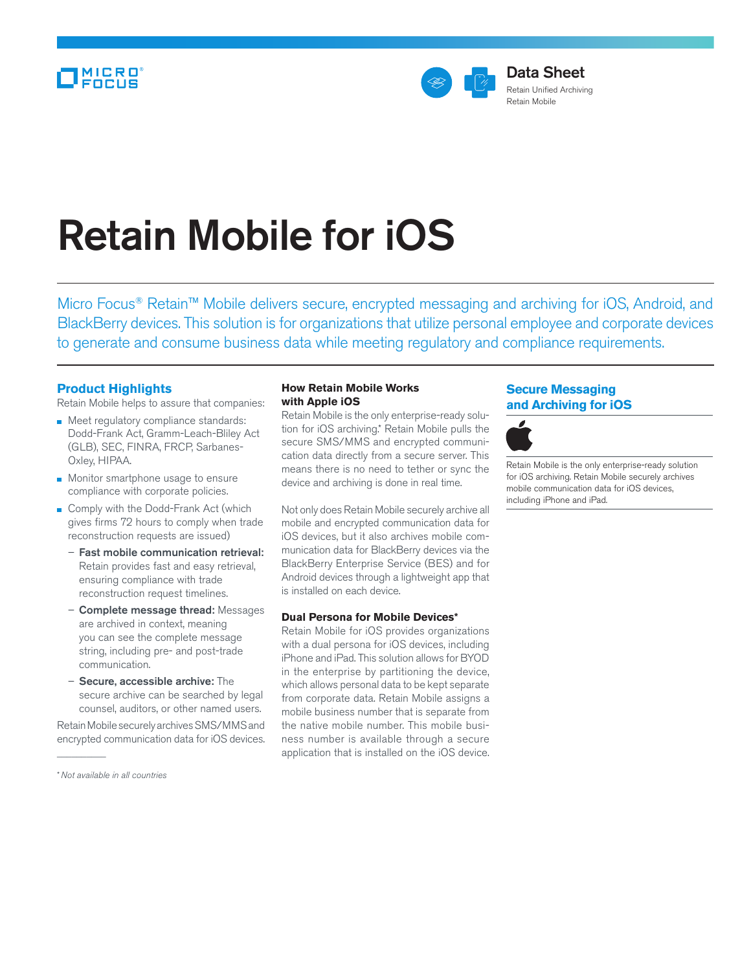

# Retain Mobile for iOS

Micro Focus® Retain™ Mobile delivers secure, encrypted messaging and archiving for iOS, Android, and BlackBerry devices. This solution is for organizations that utilize personal employee and corporate devices to generate and consume business data while meeting regulatory and compliance requirements.

## **Product Highlights**

Retain Mobile helps to assure that companies:

- Meet regulatory compliance standards: Dodd-Frank Act, Gramm-Leach-Bliley Act (GLB), SEC, FINRA, FRCP, Sarbanes-Oxley, HIPAA.
- **Monitor smartphone usage to ensure** compliance with corporate policies.
- Comply with the Dodd-Frank Act (which gives firms 72 hours to comply when trade reconstruction requests are issued)
	- Fast mobile communication retrieval: Retain provides fast and easy retrieval, ensuring compliance with trade reconstruction request timelines.
	- Complete message thread: Messages are archived in context, meaning you can see the complete message string, including pre- and post-trade communication.
	- Secure, accessible archive: The secure archive can be searched by legal counsel, auditors, or other named users.

Retain Mobile securely archives SMS/MMS and encrypted communication data for iOS devices.

\**Not available in all countries*

 $\overline{\phantom{a}}$ 

#### **How Retain Mobile Works with Apple iOS**

Retain Mobile is the only enterprise-ready solution for iOS archiving.\* Retain Mobile pulls the secure SMS/MMS and encrypted communication data directly from a secure server. This means there is no need to tether or sync the device and archiving is done in real time.

Not only does Retain Mobile securely archive all mobile and encrypted communication data for iOS devices, but it also archives mobile communication data for BlackBerry devices via the BlackBerry Enterprise Service (BES) and for Android devices through a lightweight app that is installed on each device.

### **Dual Persona for Mobile Devices\***

Retain Mobile for iOS provides organizations with a dual persona for iOS devices, including iPhone and iPad. This solution allows for BYOD in the enterprise by partitioning the device, which allows personal data to be kept separate from corporate data. Retain Mobile assigns a mobile business number that is separate from the native mobile number. This mobile business number is available through a secure application that is installed on the iOS device.

# **Secure Messaging and Archiving for iOS**



Retain Mobile is the only enterprise-ready solution for iOS archiving. Retain Mobile securely archives mobile communication data for iOS devices, including iPhone and iPad.